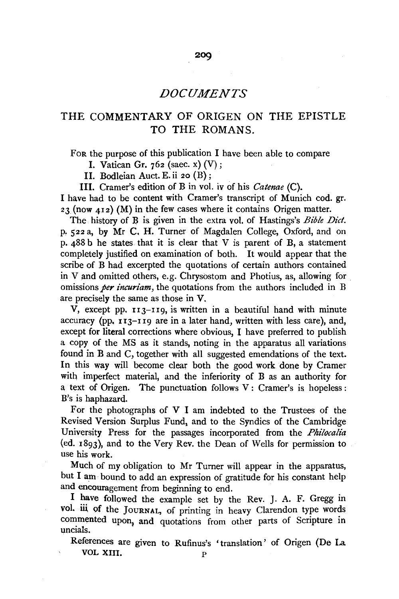# THE COMMENTARY OF ORIGEN ON THE EPISTLE TO THE ROMANS.

FoR the purpose of this publication I have been able to compare

I. Vatican Gr. 762 (saec. x) (V);

II. Bodleian Auct. E. ii 20 (B);

III. Cramer's edition of B in vol. iv of his *Catenae* (C).

I have had to be content with Cramer's transcript of Munich cod. gr.  $23$  (now  $412$ ) (M) in the few cases where it contains Origen matter.

The history of B is given in the extra vol. of Hastings's *Bible Diet.*  p, 522 a, by Mr C. H. Turner of Magdalen College, Oxford, and on p. 488 b he states that it is clear that V is parent of B, a statement completely justified on examination of both. It would appear that the scribe of B had excerpted the quotations of certain authors contained in V and omitted others, e.g. Chrysostom and Photius, as, allowing for omissions *per incuriam,* the quotations from the authors included in B are precisely the same as those in V.

V, except pp. 113-119, is written in a beautiful hand with minute accuracy (pp, 113-119 are in a later hand, written with less care), and, except for literal corrections where obvious, I have preferred to publish a copy of the MS as it stands, noting in the apparatus all variations found in Band C, together with all suggested emendations of the text. In this way will become clear both the good work done by Cramer with imperfect material, and the inferiority of B as an authority for a text of Origen. The punctuation follows V : Cramer's is hopeless : B's is haphazard.

For the photographs of V I am indebted to the Trustees of the Revised Version Surplus Fund, and to the Syndics of the Cambridge University Press for the passages incorporated from the *Philocalia*  (ed. 1893), and to the Very Rev. the Dean of Wells for permission to use his work.

Much of my obligation to Mr Turner will appear in the apparatus, but I am· bound to add an expression of gratitude for his constant help and encouragement from beginning to end.

I have followed the example set by the Rev. J. A. F. Gregg in vol. iii. of the JOURNAL, of printing in heavy Clarendon type words commented upon, and quotations from other parts of Scripture in uncials.

References are given to Rufinus's •translation' of Origen (De La VOL XIII. p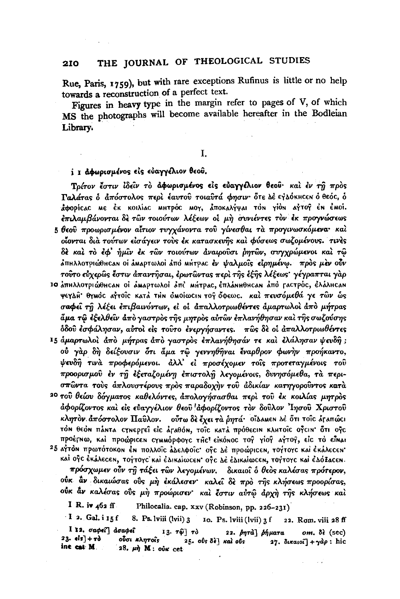Rue, Paris, 1759), but with rare exceptions Rufinus is little or no help towards a reconstruction of a perfect text.

Figures in heavy type in the margin refer to pages of V, of which MS the photographs will become available hereafter in the Bodleian Library.

### Ι.

### i I αφωρισμένος είς εύαγγέλιον θεού.

Τρίτον έστιν ίδεΐν το αφωρισμένος είς εύαγγέλιον θεού· και έν τη προς Γαλάτας ο απόστολος περί έαυτού τοιαύτά φησιν ότε Δέ εγλόκηςεν ο θεός, ο άφορίς και εκ κοιλίας ΜΗτρός ΜΟΥ, αποκαλήψαι του γίου αγτογ έν έΜοί. επιλαμβάνονται δε των τοιούτων λέξεων οι μη συνιέντες τον έκ προγνώσεως 5 θεού προωρισμένον αίτιον τυγχάνοντα του γίνεσθαι τα προγινωσκόμενα· και οίονται δια τούτων είσάγειν τους έκ κατασκευής και φύσεως σωζομένους. τινες δε και το εφ' ήμιν εκ των τοιούτων αναιρούσι ρητών, συγχρώμενοι και τω άπηλλοτριώθης οι ό αναρτωλοί από Μήτρας έν ψαλμοΐς είρημένω. πρός μέν ούν τούτο εύχερως έστιν άπαντησαι, έρωτωντας περί της έξης λέξεως· γέγραπται γάρ 10 ΔΠΗλλΟΤΡΙώθΗCΑΝ ΟΙ ΔΜΑΡΤωλοΙ ΔΠΕ ΜΗΤΡΑΣ, ΕΠλΑΝΗθΗCΑΝ ΑΠΟ ΓΑΣΤΡΟΣ, ΕλΑλΗCΑΝ ΨεγΔΗ' θγΜΟΣ ΑΥΤΟΙΣ ΚΑΤΑ ΤΗΝ ΟΜΟΙΩΣΙΝ ΤΟΥ ΟΦΕΩΣ. Και πευσόμεθά γε τών ώς σαφεί τη λέξει επιβαινόντων, εί οι απαλλοτριωθέντες αμαρτωλοί από μήτρας άμα τῷ ἐξελθεῖν ἀπὸ γαστρὸς τῆς μητρὸς αὐτῶν ἐπλανήθησαν καὶ τῆς σωζούσης όδου εσφάλησαν, αύτοι είς τούτο ενεργήσαντες. πως δε οί απαλλοτριωθέντες

15 άμαρτωλοί άπό μήτρας άπό γαστρός επλανήθησάν τε και ελάλησαν ψευδή; ού γαρ δη δείξουσιν ότι άμα τω γεννηθήναι έναρθρον φωνήν προήκαντο, ψευδή τινά προφερόμενοι. άλλ' εί προσέχομεν τοίς προτεταγμένοις του προορισμού έν τη έξεταζομένη έπιστολη λεγομένοις, δυνησόμεθα, τα περισπώντα τους άπλουστέρους προς παραδοχην του άδικίαν κατηγορούντος κατα

20 του θείου δόγματος καθελόντες, άπολογήσασθαι περί του έκ κοιλίας μητρός άφορίζοντος και είς εύαγγέλιον θεού αφορίζοντος τον δούλον 'Ιησού Χριστού κλητόν άπόστολον Παύλον. ούτω δε έχει τα ρητά· οίλαΜΕΝ Δε ότι τοις άγαπώςι τόν θεόν πάντα σγνεργεί είς άραθόν, τοΐς κατά πρόθες!» κλητοΐς ογειν· ότι ογε προέγνω, και προώρισεν σγμμόρφογε της εικόνος τος γιος αγτος, είς το είναι

25 ΑΥΤΟΝ ΠΡωτότοκοΝ έΝ πολλοΐς άλελφοΐς ογε λέ προώρις κη τογτογς και έκάλες εΝ' καί ογο έκάλεσεn, τογτογο και έδικαιωσεn· ογο δε έδικαιωσεn, τογτογο και έδόΙασεn. πρόσχωμεν ούν τη τάξει των λεγομένων. δικαιοί δ θεος καλέσας πρότερον, ούκ αν δικαιώσας ούς μη εκάλεσεν καλεί δε πρό της κλήσεως προορίσας, ούκ άν καλέσας ούς μη προώρισεν· και έστιν αυτώ άρχη της κλήσεως και

I R. iv  $462$  ff. Philocalia. cap. xxv (Robinson, pp. 226-231)

 $\cdot$  I 2. Gal. i 15f 8. Ps. lviii (lvii) 3 Io. Ps. lviii (lvii) 3 f 22. Rom. viii 28 ff I 12. σαφεί<sup>γ</sup> άσαφεί 13.  $\tau \hat{\varphi}$   $\tau \delta$ 22. βητά βήματα  $om. δ<sup>λ</sup>$  (sec)  $23.$  els] +  $70$ ούσι κλητοΐς  $25.$  oυs δε] και ουs 27. δικαιοί] +  $\gamma d\rho$ : hic ine cat M. 28. μή Μ: ούκ cet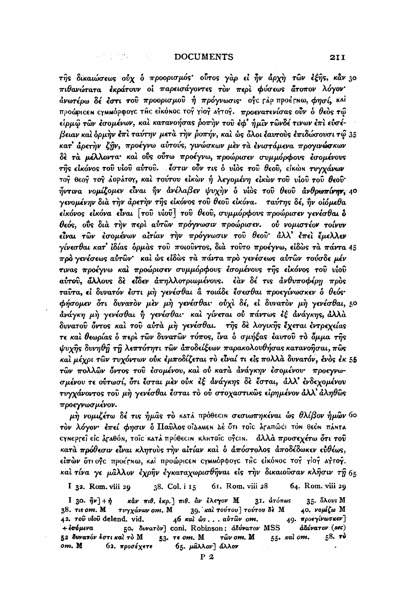4. 化加热 计可控制

της δικαιώσεως ούχ ο προορισμός ούτος γαρ εί ην άρχη των έξης, κάν 30 πιθανώτατα εκράτουν οι παρεισάγοντες τον περι φύσεως άτοπον λόγον άνωτέρω δέ έστι του προορισμου ή πρόγνωσις· οξε τάρ προέτηω, φησί, και προώρισεη σχημηόρφογε της είκόνος τογ γίογ αγτογ. προενατενίσας ούν ο θεός τω είρμω των εσομένων, και κατανοήσας ροπην του εφ' ήμιν τωνδέ τινων επι ευσέβειαν και δρικήν έπι ταύτην μετά την ροπήν, και ως δλοι έαυτους επιδώσουσι τω 35 κατ' άρετην ζήν, προέγνω αύτούς, γινώσκων μεν τα ενιστάμενα προγινώσκων δε τα μέλλοντα και ούς ούτω προέγνω, προώρισεν συμμόρφους εσομένους της είκόνος του υίου αύτου. έστιν ούν τις ο υίος του θεου, εικών τυγχάνων τογ θεογ τογ λορλτογ, και τούτου εικών ή λεγομένη εικών του υίου του θεού· ήντινα νομίζομεν είναι ήν ανέλαβεν ψυχήν ο υίος του θεου ανθρωπίνην 40 γενομένην δια την άρετην της εικόνος του θεου εικόνα. ταύτης δέ, ην οιόμεθα εικόνος εικόνα είναι [του νιου] του θεου, συμμόρφους προώρισεν γενέσθαι δ θεός, ούς διά την περί αύτων πρόγνωσιν προώρισεν. ού νομιστέον τοίνυν είναι των εσομένων αίτίαν την πρόγνωσιν του θεου άλλ' επει έμελλεν  $\gamma$ ίνεσθαι κατ' ίδίας δρμάς τοῦ ποιοῦντος, διὰ τοῦτο προέγγω, εἰδὼς τὰ πάντα 45 πρό γενέσεως αύτων' και ώς είδως τα πάντα προ γενέσεως αύτων τούσδε μέν τινας προέγνω και προώρισεν συμμόρφους εσομένους της εικόνος του υίου αύτου, άλλους δε είδεν άπηλλοτριωμένους. εάν δε τις άνθυποφέρη προς ταύτα, εί δυνατόν έστι μή γενέσθαι α τοιάδε έσεσθαι προεγίνωσκεν ο θεός· φήσομεν ότι δυνατον μεν μη γενέσθαι· ούχι δέ, εί δυνατον μη γενέσθαι, 50 άνάγκη μη γενέσθαι ή γενέσθαι· και γίνεται ού πάντως εξ ανάγκης, άλλα δυνατού όντος και του αύτα μη γενέσθαι. της δε λογικής έχεται έντρεχείας τε και θεωρίας ο περι των δυνατών τόπος, ίνα ο σμήξας εαυτού το όμμα της ψυχής δυνηθή τη λεπτότητι των αποδείξεων παρακολουθήσας κατανοήσαι, πως και μέχρι των τυχόντων ούκ έμποδίζεται το είναί τι είς πολλά δυνατόν, ένος έκ 55 τῶν πολλῶν ὄντος τοῦ ἐσομένου, καὶ οὐ κατὰ ἀνάγκην ἐσομένου· προεγνωσμένου τε ούτωσί, ότι έσται μεν ούκ εξ ανάγκης δε έσται, αλλ' ενδεχομένου τυγγάνοντος τοῦ μὴ γενέσθαι ἔσται τὸ οὐ στοχαστικῶς εἰρημένον ἀλλ' ἀληθῶς προεγνωσμένον.

μὴ νομιζέτω δέ τις ἡμᾶς τὸ κατά πρόθεςιΝ σεσιωπηκέναι ὧς θλίβον ἡμῶν Go τόν λόγον· έπεί φησιν ο Παύλος οίλαμεν λέ ότι τοις άραπώς! τον θεόν πάντα εγΝερτεΐ εἰς ἀταθόΝ, τοῖς κατά πρόθεςιΝ κλητοῖς ογςιΝ. «ἀλλὰ προσεχέτω ὅτι τοῦ κατά πρόθεσιν είναι κλητούς την αίτίαν και ο απόστολος αποδέδωκεν εύθέως, είπών ότι ογε προέτηω, και προώρισεη σγμημόρφογο της εικόηος τον γίον αγτον. και τίνα γε μάλλον έχρην έγκαταχωρισθήναι είς την δικαιούσαν κλήσιν τη 65

64. Rom. viii 29 61. Rom. viii 28 I 32. Rom. viii 29 38. Col. i 15

κάν πιθ. έκρ. | πιθ. αν έλεγον Μ 35. öλους M I 30.  $\tilde{\eta}\nu$  +  $\eta$  $3I.$   $d\tau$ óπως 38. τις οm. Μ τυγχάνων οm. Μ 39. και τούτου | τούτου δε Μ 40. νομίζω Μ 46 και ώς... αύτων om. 49. προεγίνωσκεν] 42. rov vlov delend. vid. 50. δυνατόν] coni. Robinson: άδύνατον MSS + έσόμενα άδύνατον (sec) 52 δυνατόν έστικαί το Μ  $53.$   $\tau \epsilon$  om. M 55. Kal om.  $-58.$  To τῶν om. M 65. μάλλον] άλλον om. M 62. προσέχετε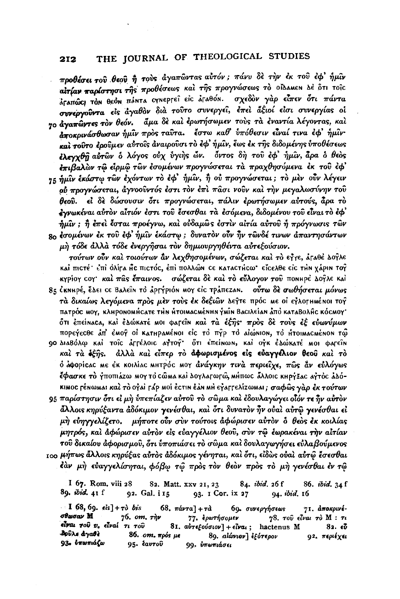προθέσει του θεού ή τους άγαπώντας αύτόν; πάνυ δε την έκ του έφ' ήμιν αίτίαν παρίστησι της προθέσεως και της προγνώσεως το οίλλΜΕΝ Δε ότι τοις άραπώς του θεόν πάντα σχνεργεί είς άραθόν. σχεδὸν γὰρ εἶπεν ὅτι πάντα συνεργούντα είς άγαθον διά τούτο συνεργεί, έπει άξιοί είσι συνεργίας οί 70 άγαπώντες τον θεόν. άμα δε και ερωτήσωμεν τους τα εναντία λέγοντας, και αποκοινάσθωσαν ήμιν πρός ταυτα. έστω καθ' υπόθεσιν είναι τινα έφ' ήμιν και τούτο έρουμεν αύτοις άναιρούσι το έφ' ήμιν, έως έκ της διδομένης υποθέσεως έλεγχθη αύτων ο λόγος ούχ ύγιης ών. όντος δη του έφ' ήμιν, άρα ο θεός έπιβαλών τω είρμω των έσομένων προγνώσεται τα πραχθησόμενα έκ του έφ' 75 ήμιν έκάστω των έχόντων το έφ' ήμιν, ή ού προγνώσεται; το μεν ούν λέγειν ού προγνώσεται, άγνοούντός έστι τον έπι πάσι νούν και την μεγαλωσύνην του θεού. εί δε δώσουσιν ότι προγνώσεται, πάλιν ερωτήσωμεν αύτούς, άρα το έγνωκέναι αύτὸν αἶτιόν ἐστι τοῦ ἔσεσθαι τὰ ἐσόμενα, διδομένου τοῦ εἶναι τὸ ἐφ'  $\hat{n}$ μίν; ή έπει έσται προέγνω, και ουδαμώς έστιν αιτία αυτου ή πρόγνωσις των s. εσομένων εκ του εφ' ήμιν εκάστω; δυνατον ούν ήν τωνδέ τινων απαντησάντων μή τόδε άλλα τόδε ένεργήσαι τον δημιουργηθέντα αυτεξούσιον.

τούτων ούν και τοιούτων αν λεχθησομένων, σώζεται και το εγγε, αταθέ λογλε και πιστέ· έπι όλίγα με πιστός, έπι πολλών σε καταστήςω· είσελθε είς την χάριν τογ κγρίογ coγ' και πας έπαινος. σώζεται δε και το εύλογον του πονιηρέ Δογλε και

85 CKNHPE, ΈΔΕΙ CE ΒΑλεΐΝ τΟ ΔΡΓΥΡΙΟΝ ΜΟΥ ΕΙΣ ΤΡΑΠΕΖΑΝ. Ούτω δε σωθήσεται μόνως τά δικαίως λεγόμενα πρός μέν τούς έκ δεξιών λεγτε πρός με οι εγλογιμμένοι τογ патрос моу, клирономисате тин итогмасменны умін Васілеіан апо катаволис космоу ότι έπείναςα, και έλώκατέ ΜΟΙ Φατεΐν και τα έξης· προς δε τους εξ ευωνύμων πορεγεςθε Δπ' έΜογ οι κατηραΜέΝοι είς το πγρ το αιώΝιον, το ΗτοιΜαςΜέΝοΝ τώ

90 Διαβόλφ καί τοις άΓΓέλοις αγτογ' ότι επείΝωΝ, καί ογκ έλώκατέ ΜΟΙ φαρείΝ καί τα έξης. άλλα καί είπερ το άφωρισμένος είς εύαγγέλιον θεού καί το ό άφορίτας Με έκ κοιλίας ΜΗτρός ΜΟΥ άνάγκην τινά περιείχε, πώς αν εύλόγως έφασκε το γποπιάζω ΜΟΥ το CώΜΑ και ΔΟΥλαγωγώ, ΜΗΠως Άλλοις ΚΗργέας Αγτός άλόκιμος τέχωμαι καὶ τὸ οỷαὶ τάρ μοί ἐςτιχ ἐὰχ μΗ εỷαττελίzωμαι; σαφῶς γὰρ ἐκ τούτων

95 παρίστησιν ότι εί μή υπεπίαζεν αύτου το σώμα και έδουλαγώγει οιδν τε ην αύτον άλλοις κηρύξαντα άδόκιμον γενέσθαι, καὶ ὅτι δυνατὸν ἦν οὐαὶ αὐτῷ γενέσθαι εἰ μη εύηγγελίζετο. μήποτε ούν σύν τούτοις άφώρισεν αύτον δ θεός έκ κοιλίας μητρός, και αφώρισεν αυτον είς ευαγγέλιον θεού, συν τω έωρακέναι την αιτίαν τοῦ δικαίου ἀφορισμοῦ, ὅτι ὑποπιάσει τὸ σῶμα καὶ δουλαγωγήσει εὐλαβούμενος 100 μήπως ἄλλοις κηρύξας αὐτὸς ἀδόκιμος γένηται, καὶ ὅτι, εἰδὼς οὐαὶ αὐτῶ ἔσεσθαι

έαν μή εύαγγελίσηται, φόβω τω πρός τον θεόν πρός το μή γενέσθαι έν τω

I 67. Rom, viii 28 82. Matt. xxv 21, 23 84. ibid. 26f 86. ibid. 34 f 89. ibid. 41 f 94. ibid. 16 92. Gal. i 15 93. I Cor. ix 27

**I** 68, 69.  $\epsilon$ is] +  $\tau$ ò bis 68.  $\pi\acute{a}\nu\tau a$  +  $\tau\grave{a}$ 69. συνεργήσεως 71. αποκρινέσθωσαν Μ  $76.$  om,  $\tau_{\eta\nu}$ 77. ερωτήσομεν 78. του είναι το Μ: τι  $\epsilon$ lvai  $\tau$ oύ  $v$ ,  $\epsilon$ lvai  $\tau$ i  $\tau$ oύ 81. αυτεξούσιον] + είναι; hactenus Μ  $82.65$ δρύλε άγαθε 86. om. πρός με 89. αίώνιον] εξότερον 92. περιέχει 93. υπωπιάζω 95. έαυτου 99, υπωπιάσει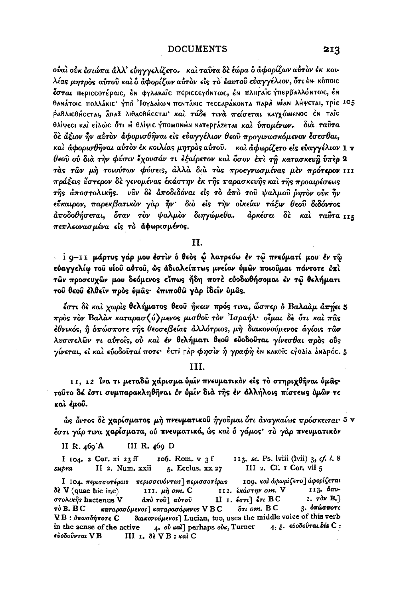ούαι ούκ έσιώπα άλλ' εύηγγελίζετο. και ταυτα δε έώρα δ άφορίζων αύτον έκ κοιλίας μητρός αύτοῦ καὶ ὁ ἀφορίζων αὐτὸν εἰς τὸ ἐαυτοῦ εὐαγγέλιον, ὅτι ἐΝ κόποις έσται περιςςοτέρως, έν φγλακαΐς περιςςεγόντως, έν πληγαΐς γπερβαλλόντως, έν θανάτοις πολλάκις: γπο 'Ιογλαίων πεντάκις τεςςαράκοντα παρά μίαν λήψεται, τρὶς 105 ΡΑΒΔΙΟθήσεται, ΆπαΣ λιθαοθήσεται και τάδε τινα πείσεται καγχώμενος έν ταΐς θλίψεςι και είλως ότι Η θλίψις γποΜΟΝΗΝ ΚΑΤΕΡΓάΖΕΤΑΙ και υπομένων. δια ταύτα δε άξιον ήν αύτον άφορισθήναι είς εύαγγέλιον θεού προγινωσκόμενον έσεσθαι, και άφορισθήναι αύτον έκ κοιλίας μητρος αύτου. και άφωρίζετο είς εύαγγέλιον 1 ν θεού ού διά την φύσιν έχουσάν τι εξαίρετον και δσον επι τη κατασκευή υπερ 2 τάς των μή τοιούτων φύσεις, άλλά διά τάς προεγνωσμένας μεν πρότερον 111 πράξεις ὖστερον δε γενομένας εκάστην εκ της παρασκευής και της προαιρέσεως της αποστολικής. γύν δε αποδιδόναι είς το από του ψαλμου όντον ούκ ην εύκαιρον, παρεκβατικόν γάρ ήν· διό είς την οικείαν τάξιν θεού διδόντος άποδοθήσεται, όταν τον ψαλμον διηγώμεθα. άρκέσει δε και ταύτα 115 πεπλεονασμένα είς το αφωρισμένος.

H.

i q-II μάρτυς γάρ μου έστιν ο θεος ώ λατρεύω έν τώ πνεύματί μου έν τω εύαγγελίω του υίου αύτου, ώς αδιαλείπτως μνείαν ύμων ποιουμαι πάντοτε έπι τών προσευχών μου δεόμενος είπως ήδη ποτέ εὐοδωθήσομαι έν τῷ θελήματι του θεου έλθειν πρός ύμας· έπιποθω γάρ ίδειν ύμας.

έστι δε και χωρίς θελήματος θεού ήκειν πρός τινα, ώσπερ ο Βαλαάμ άπήει 5 πρός τον Βαλάκ καταρασ $\langle \delta \rangle$ μενος μισθού τον 'Ισραήλ· οίμαι δε ότι και πάς έθνικός, η δπώσποτε της θεοσεβείας άλλότριος, μη διακονούμενος άγίοις τῶν λυσιτελών τι αύτοις, ού και έν θελήματι θεού ευοδούται γίνεσθαι πρός ούς γίνεται, εί και εύοδούταί ποτε· έστι γάρ φησίν ή γραφή έν κακοΐς εγολία αναρός. 5

## TH.

11, 12 <sup>γ</sup>να τι μεταδώ χάρισμα ύμιν πνευματικόν είς το στηριχθήναι ύμας· τούτο δέ έστι συμπαρακληθήναι έν ύμιν διά της έν άλλήλοις πίστεως ύμων τε καὶ ἐμοῦ.

ώς όντος δε χαρίσματος μή πνευματικού ήγουμαι ότι άναγκαίως πρόσκειται· 5 v έστι γάρ τινα χαρίσματα, ού πνευματικά, ώς και δ γάμος· το γαρ πνευματικον

II R. 469 A III R. 469 D

113. sc. Ps. lviii (lvii) 3, cf. l. 8 I 104. 2 Cor. xi 23 ff 106. Rom. v 3 f II 2. Num. xxii 5. Ecclus. xx 27 III 2, Cf. I Cor. vii 5 supra

109. και άφωρίζετο] άφορίζεται I IO4. περισσοτέροις περισσευόντως περισσοτέρως 113. άπο- $\delta \epsilon$  V (quae hic inc) 111.  $\mu$ ή om. C 112. εκάστην om. V  $2.7$   $dv$  B.] στολικής hactenus V άπό του αύτου II 1.  $\epsilon \sigma \tau \iota$   $\epsilon \tau \iota$  BC  $5\tau$ і от. В С 3. δπώσποτε  $\tau$  $\delta$  B, BC καταρασόμενος] καταρασάμενος VBC V Β : όπωσδήποτε C διακονούμενος] Lucian, too, uses the middle voice of this verb in the sense of the active  $\begin{bmatrix} 4 & \text{o}v & \text{real} \end{bmatrix}$  perhaps  $\begin{bmatrix} 0 & \text{all} & \text{l} \\ 0 & \text{all} \end{bmatrix}$  and  $\begin{bmatrix} 4 & \text{bl} & \text{bl} \\ 0 & \text{all} \end{bmatrix}$ €ὐοδοῦνται V B III 1. δε V Β: και C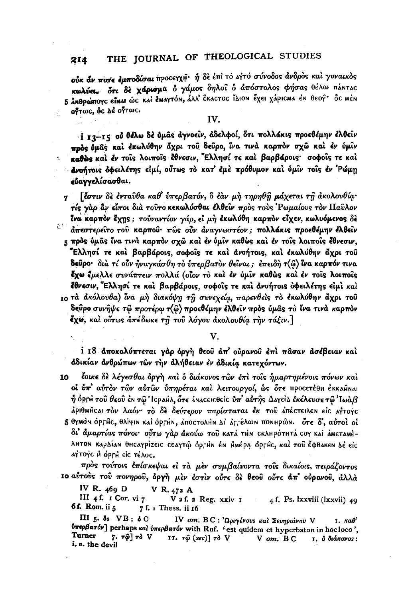ούκ άν ποπε έμποδίσαι προσεγχή· ή δε έπι το αίτο σύνοδος άνδρος και γυναικός κωλύει. δτι δε χάρισμα δ γάμος δηλοί δ απόστολος φήσας θέλω πάΝτας 5 ΔΝΘρώπογο είναι ώς και έμαγτόν, άλλ' έκαςτος ΙΔΙΟΝ έχει χάρις μα θεογ' δς μέν οντως, ός λέοντως,

IV.

i 13-15 ού θέλω δε ύμας άγνοεϊν, άδελφοί, ότι πολλάκις προεθέμην έλθειν ποδε δμάς και εκωλύθην άχρι του δεύρο, ίνα τινά καρπόν σχώ και εν ύμιν καθώς και έν τοις λοιποίς έθνεσιν, Έλλησί τε και βαρβάροις· σοφοίς τε και άνοήτοις όφειλέτης είμί, ούτως το κατ' έμε πρόθυμον και ύμιν τοις έν 'Ρώμη εύανγελίσασθαι.

[έστιν δε ένταυθα καθ' ύπερβατόν, ο έαν μή τηρηθή μάχεται τη άκολουθία·  $\mathbf{7}$ τίς γαρ άν είποι δια τούτο κεκωλύσθαι έλθείν προς τους Ρωμαίους τον Παύλον Ίνα καρπόν έχης; τούναντίον γάρ, εί μη έκωλύθη καρπόν είχεν, κωλυόμενος δε at: άπεστερείτο του καρπού· πώς ούν άναγνωστέον; πολλάκις προεθέμην έλθειν 5 πρός ύμας ΐνα τινά καρπόν σχώ και έν ύμιν καθώς και έν τοις λοιποίς έθνεσιν, Έλλησί τε καὶ βαρβάροις, σοφοΐς τε καὶ ἀνοήτοις, καὶ ἐκωλύθην ἄχρι τοῦ **δεύρο**· διà τί οὖν ήναγκάσθη τὸ ὑπερβατὸν θεῖναι; ἐπειδὴ τ(ῶ) ἴνα καρπόν τινα έχω έμελλε συνάπτειν πολλά (οίον το και έν ύμιν καθώς και έν τοις λοιποις έθνεσιν, Έλλησί τε και βαρβάροις, σοφοΐς τε και ανοήτοις όφειλέτης είμι και το τα ακόλουθα) ίνα μη διακόψη τη συνεχεία, παρενθείς το εκωλύθην άχρι του δεύρο συνήψε τω προτέρω τ(ω) προεθέμην έλθειν πρός ύμας το ίνα τινά καρπόν έχω, και ούτως απέδωκε τη του λόγου ακολουθία την τάξιν.]

V.

ί 18 αποκαλύπτεται γάρ όργη θεοῦ ἀπ' οὐρανοῦ ἐπὶ πᾶσαν ἀσέβειαν καὶ άδικίαν ανθρώπων τών την άλήθειαν έν άδικία κατεχόντων.

έοικε δε λέγεσθαι όργη και ο διάκονος των επι τοις ήμαρτημένοις πόνων και 10 οί ύπ' αύτον τών αύτών ύπηρέται και λειτουργοί, ώς ότε προσετέθη έκκαθηκαι  $\hat{\eta}$  όρετί τοῦ θεοῦ ἐΝ τῷ Ἰσραήλ, ὅτε ἀΝασειοθείο ΰπ' αὐτῆς ΔαγείΔ ἐκέλευσε τῷ Ἰωὰβ άριθΜΑΓΙ τον λαόν· το δε δεύτερον παρίσταται έκ του απέςτειλεν είς αγτογς 5 θγμόν όρεμς, θλίψιν καί όρεμν, άποςτολιον Δί άρτέλων πονιμρών. ότε δ', αύτοί οί δι άμαρτίας πόνοι· ούτω γάρ άκούω του κατά τΗΝ CΚΛΗΡότΗΤΑ COY ΚΑΙ ΑΜΕΤΑΜΕλΗΤΟΝ ΚΑΡΔίΑΝ θΗΣΑΥΡίΖΕΙΣ ΣΕΑΥΤΏ ΟΡΓΗΝ ΕΝ ΗΜέΡΑ ΟΡΓΗΣ, και του έφθακεν Δε είς ΑΥΤΟΥΣ Η ΟΡΓΗ είς τέλος.

πρός τούτοις έπίσκεψαι εί τα μεν συμβαίνοντα τοΐς δικαίοις, πειράζοντος το αύτούς του πονηρού, όργή μέν έστιν ούτε δέ θεού ούτε άπ' ούρανού, άλλά

IV R.  $469$  D V R. 472 A

III 4 f. I Cor. vi 7 V 2 f. 2 Reg. xxiv 1 4 f. Ps. Ixxviii (Ixxvii) 49 6f. Rom. ii 5 7 f. I Thess. ii 16

 $\Pi$ I 5. 8s  $VB$ : 8 C IV om. BC: 'Ωριγένους και Σευηριάνου V 1. καθ' *υπερβατόν*] perhaps και υπερβατόν with Ruf. 'est quidem et hyperbaton in hocloco', Turner 7.  $\tau \hat{\varphi}$   $\tau \partial$  V II. τ $\hat{\varphi}$  (sec)] τὸ V  $V$  om.  $B C$ 1. δ διάκονος: i. e. the devil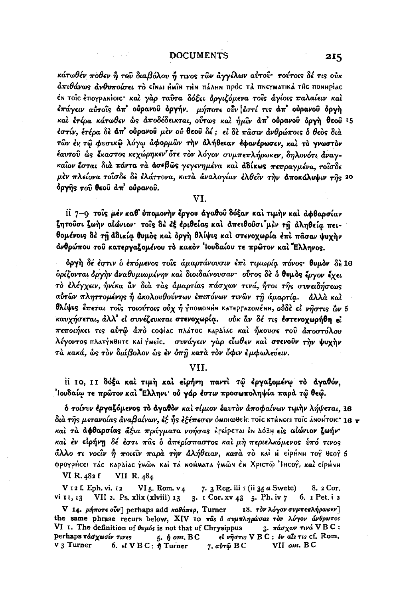计中心 建加

κάτωθέν ποθεν ή του διαβόλου ή τινος των άγγέλων αύτου· τούτοις δέ τις ούκ άπιθάνως άνθυποίσει τὸ εἶnai nhữn trìn πάλμη πρὸc τả πneγmatikà the ποnhpiac έΝ τοῖς ἐπογραΝίοις· καὶ γὰρ ταῦτα δόξει ὀργιζόμενα τοῖς ἀγίοις παλαίειν καὶ έπάγειν αὐτοῖς ἀπ' οὐρανοῦ ὀργήν. μήποτε οὖν ἐστί τις ἀπ' οὐρανοῦ ὀργὴ και ετέρα κάτωθεν ως άποδέδεικται, ούτως και ήμιν απ' ουρανού δργή θεού 15 έστίν, έτέρα δε άπ' οὐρανοῦ μεν οὐ θεοῦ δέ ; εἰ δε πᾶσιν ἀνθρώποις ὁ θεὸς διὰ τῶν ἐν τῶ φυσικῶ λόγω ἀφορμῶν την ἀλήθειαν εφανέρωσεν, και το γνωστον έαυτού ώς έκαστος κεχώρηκεν ότε τον λόγον συμπεπλήρωκεν, δηλονότι άναγκαίον έσται διά πάντα τα άσεβως γεγενημένα και αδίκως πεπραγμένα, τοισδε μέν πλείονα τοΐσδε δε έλάττονα, κατά άναλογίαν έλθεΐν την άποκάλυψιν της 20 όργης του θεού άπ' ούρανου.

VI.

ii 7-9 τοις μέν καθ' ύπομονήν έργου άγαθου δόξαν και τιμήν και αφθαρσίαν ζητούσι ζωήν αίώνιον· τοίς δέ έξ έριθείας και απειθούσι μέν τη άληθεία πειθομένοις δέ τη άδικία θυμός και όργη θλίψις και στενοχωρία έπι πάσαν ψυχην άνθρώπου του κατεργαζομένου το κακον 'Ιουδαίου τε πρώτον και Έλληνος.

δργή δέ έστιν ο έπόμενος τοίς αμαρτάνουσιν έπι τιμωρία πόνος· θυμον δε 16 δρίζονται όργην αναθυμιωμένην και διοιδαίνουσαν· ούτος δε δ θυμος έργον έχει το ελέγχειν, ήνίκα αν δια τας άμαρτίας πάσχων τινά, ήτοι της συνειδήσεως αύτῶν πληττομένης ἢ ἀκολουθούντων ἐπιπόνων τινῶν τῆ ἀμαρτία. άλλά καί θλίψις έπεται τοίς τοιούτοις ούχ ή γποΜΟΝΗΝ ΚΑΤΕΡΓΑΖΟΜέΝΗ, ούδε εί νήστις ών 5 καυχήσεται, άλλ' εί συνέζευκται στενοχωρία. ούκ αν δέ τις εστενοχωρήθη εί πεποιήκει τις αύτώ άπό coφίας πλάτος καρλίας και ήκουσε του άποστόλου λέγοντος πλατήνθητε και ήΜεϊς. συνάγειν γάρ είωθεν και στενούν την ψυχην τὰ κακά, ὧς τὸν διάβολον ὧς ἐν ὀπῆ κατὰ τὸν ὄφιν ἐμφωλεύειν.

### VII.

ii 10, 11 δόξα και τιμή και είρήνη παντι τώ εργαζομένω το αγαθόν, 'loυδαίω τε πρώτον και "Ελληνι· ού γάρ έστιν προσωποληψία παρά τώ θεώ.

δ τοίνυν έργαζόμενος το άγαθον και τίμιον έαυτον άποφαίνων τιμήν λήψεται, 18 διά της μετανοίας άναβαίνων, εξ ης εξέπεσεν όμοιωθείς τοις κτήμες: τοις απομτοις 18  $\mathbf{v}$ καί τα αφθαρσίας άξια πράγματα νοήσας ετείρεται έν Δόξη είς αίώνιον ζωήν· καὶ ἐν εἰρήνη δέ ἐστι πᾶς ὁ ἀπερίσπαστος καὶ μὴ περιελκόμενος ὑπό τινος άλλο τι νοείν ή ποιείν παρά την άλήθειαν, κατά τό και η είρηΝΗ τος θεος 5 φρογρήσει τάς καρδίας γμών και τά Νοήματα γμών έν Χριστώ Ήιςογ, και είρηνη

VII R. 484 VI R. 482 f

V 12 f. Eph. vi. 12 VI  $5.$  Rom,  $v_4$ 7. 3 Reg. iii 1 (ii 35 a Swete) 8. 2 Cor. VII 2. Ps. xlix (xlviii) 13 3. 1 Cor. xv 43 5. Ph. iv 7 vi 11, 13 6. I Pet. i 2 V 14. μήποτε ούν] perhaps add καθάπερ, Turner 18. τον λόγον συμπεπλήρωκεν]

the same phrase recurs below, XIV 10 πάs ό συμπληρώσαs τον λόγον άνθρωπος VI I. The definition of  $\theta\nu\mu\delta s$  is not that of Chrysippus 3. πάσχων τινά VBC:  $5.$   $\eta$  om, BC perhaps πάσχωσίν τινες εί νήστις VBC: έν αίς τις cf. Rom. 6.  $d \text{V} B C$ :  $\eta$  Turner v 3 Turner  $7. a*ν*τ<sub>φ</sub> BC$ VII om. BC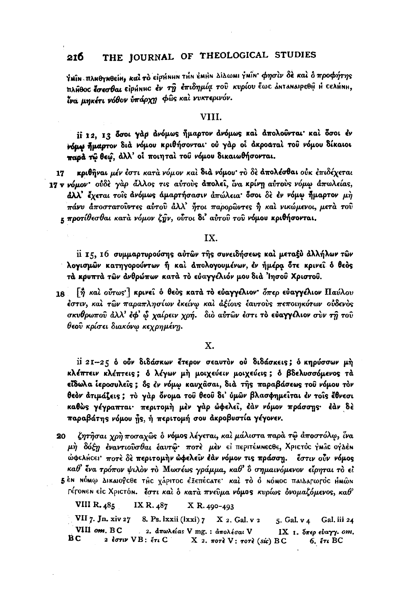ΥΜΙΝ ΠΛΗΘΥΝθείΗ, και το είρμημη την έΜΗΝ ΔίΔωΜΙ ΥΜΙΝ' Φησίν δε και ο προφήτης πλήθος έσεσθαι είρήΝΗς έν τη επιδημία του κυρίου έως αΝΤΑΝΑΙΡΕΘΗ Η ΓΕΛΗΝΗ. Ϊνα μηκέτι νόθον υπάρχη φώς και νυκτερινόν.

### VIII.

ii 12. 13 δσοι γάρ άνόμως ήμαρτον άνόμως και άπολούνται και δσοι έν νόμω ήμαρτον διά νόμου κριθήσονται ού γάρ οι ακροαταί του νόμου δίκαιοι παρά τω θεώ, άλλ' οι ποιηταί του νόμου δικαιωθήσονται.

κριθήναι μέν έστι κατά νόμον και διά νόμου· το δε απολέσθαι ούκ επιδέχεται 17 17 v νόμον· ούδε γαρ άλλος τις αύτους απολεί, ίνα κρίνη αύτους νόμω απωλείας,  $d\lambda\lambda'$  έχεται τοίς ανόμως άμαρτήσασιν απώλεια δσοι δε εν νόμω ήμαρτον μη πάνυ άποστατούντες αύτου άλλ' ήτοι παρορώντες ή και νικώμενοι, μετα του κ προτίθεσθαι κατά νόμον ζήν, ούτοι δι' αύτου του νόμου κριθήσονται.

### IX.

ii 15, 16 συμμαρτυρούσης αύτων της συνειδήσεως και μεταξύ άλλήλων των λογισμών κατηγορούντων ή και απολογουμένων, έν ήμέρα ότε κρινεί ό θεός τά κρυπτά των άνθρώπων κατά το εύαγγέλιόν μου διά Ίησου Χριστου.

 $\lceil \frac{3}{\eta} \rceil$  και σύτως  $\lceil$  κρινεί ο θεός κατά το εύαγγελιον δπερ ευαγγελιον Παύλου 18 έστιν, και των παραπλησίων εκείνω και άξίους έαυτους πεποιηκότων ούδενος σκυθρωπού άλλ' έφ' ὧ χαίρειν χρή. διὸ αὐτῶν ἐστι τὸ εὐαγγελιον σὺν τῆ τοῦ θεοῦ κρίσει διακόνω κεχρημένη.

### X.

ii 21-25 ο ούν διδάσκων έτερον σεαυτον ού διδάσκεις; ο κηρύσσων μή κλέπτειν κλέπτεις; δ λέγων μή μοιχεύειν μοιχεύεις; δ βδελυσσόμενος τά εΐδωλα ἱεροσυλεῖς; ὅς ἐν νόμῳ καυχᾶσαι, διὰ τῆς παραβάσεως τοῦ νόμου τὸν θεὸν ἀτιμάζεις; τὸ γὰρ ὄνομα τοῦ θεοῦ δι' ὑμῶν βλασφημεῖται ἐν τοῖς ἔθνεσι καθώς γέγραπται· περιτομή μέν γάρ ώφελεί, έάν νόμον πράσσης· έάν δέ παραβάτης νόμου ής, ή περιτομή σου ακροβυστία γέγονεν.

ζητήσαι χρή ποσαχῶς ὁ νόμος λέγεται, καὶ μάλιστα παρὰ τῷ ἀποστόλφ, ἴνα 20 μή δόξη έναντιούσθαι έαυτώ· ποτέ μέν εί περιτέμηεςθε, Χριςτός γμώς ογλέη ώφελήςει· ποτέ δέ περιτομήν ώφελεΐν έάν νόμον τις πράσση. έστιν ούν νόμος καθ' ένα τρόπον ψιλὸν τὸ Μωσέως γράμμα, καθ' ὃ σημαινόμενον εἶρηται τὸ εἶ 5<sup>ε</sup>Ν ΝΌΜΟ Δικαιογοθε της χάριτος έξεπέςατε· και το ό ΝόΜΟς παιΔατωτός ΗΜώΝ ΓέτοΝΕΝ είς ΧριςτόΝ. έστι και ο κατά πνεύμα νόμος κυρίως ονομαζόμενος, καθ'

VIII R. 485 IX R. 487 X R. 490-493

VII 7. Jn. xiv 27 8. Ps. lxxii (lxxi) 7 X 2. Gal. v 2 5. Gal. v 4 Gal. iii 24 VIII om. BC 2. απωλείας V mg.: απολέσαι V ΙΧ 1. δπερ εύαγγ. οm. ВC 2 έστιν VB: έτι C Х 2. поте  $V:$  тоте (sic) ВС  $6.71BC$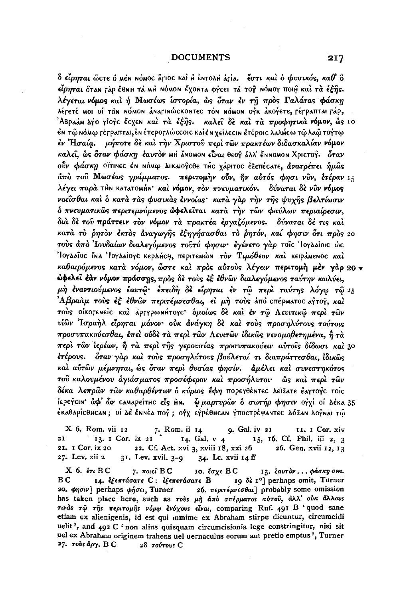$\delta$  είρηται ώςτε ο μέν νόμος åγιος και Η έντολΗ άγια. Ψάστι και δ φυσικός, καθ' δ είρηται όταν Γάρ έθΝΗ τά ΜΗ ΝόΜΟΝ έχοΝτα φήσει τά τογ ΝόΜΟΥ ποιή και τα έξης. λέγεται νόμος και ή Μωσέως ιστορία, ως όταν εν τη προς Γαλάτας φάσκη λέτετέ μοι οί τοn nόμοn Δηατιηώς κοητες τοn nόμοn ογκ Δκογετε, τέτραπται τάρ, <sup>'</sup>ΑΒραάμ Δήο γίογς ἔςγεη καὶ τὰ ἐέῆς. καλεῖ δὲ καὶ τὰ προφητικὰ νόμον, ὡς 10 ển τῷ nómφ τέτραπται,ἐn ἑτεροτλώςςοις καὶἐn χείλεςιn ἑτέροις λαλήςω τῷ λαῷ τοΥτῳ έν Ήσαία. μήποτε δε και την Χριστού περι των πρακτέων διδασκαλίαν νόμον καλεί, ώς όταν φάσκη έαυτον ΜΗ ΔΝΟΜΟΝ είναι θεογ ΔΑΝ έΝΝΟΜΟΝ Χριστογ. όταν ούν φάσκη οΐτιΝες έΝ ΝόΜω ΔΙΚΑΙΟΥΣΘΕ της χάριτος έξεπές ατε, άνατρέπει ήμας άπό του Μωσέως γράμματος. περιτομήν ούν, ήν αύτός φησι νυν, έτέραν 15 λέγει παρά τΗΝ κατατοΜΗΝ' και νόμον, τον πνευματικόν. δύναται δε νύν νόμος νοείσθαι καί ο κατά τας φυσικας έννοίας· κατά γαρ την της ψυχης βελτίωσιν δ πνευματικώς περιτεμνόμενος ώφελείται κατά την τών φαύλων περιαίρεσιν, διά δε του πράττειν τον νόμον τα πρακτέα εργαζόμενος. δύναται δέ τις και κατά τὸ ρητὸν ἐκτὸς ἀναγωγῆς ἐξηγήσασθαι τὸ ρητόν, καί φησιν ὅτι πρὸς 20 τούς άπό 'Ιουδαίων διαλεγόμενος τούτό φησιν· έγένετο γάρ τοΐς 'Ιογλαίοις ώς Ίσγλαΐος ΐνα Ίσγλαίογς κερλήςΗ, περιτεΜών τον Τιμόθεον και κειράΜενος και καθαιρόμενος κατά νόμον, ώστε και προς αύτους λέγειν περιτομή μέν γάρ 20 ν ώφελεῖ ἐὰν νόμον πράσσης, πρὸς δὲ τοὺς ἐξ ἐθνῶν διαλεγόμενος ταύτην κωλύει, μη έναντιούμενος έαυτώ· έπειδη δε είρηται έν τω περί ταύτης λόγω τω 25 'Αβραάμ τους έξ έθνων περιτέμνεσθαι, εί μή τους άπό επέρματος αγτογ, και τούς οίκοτενείς και αρτγρωνήτογς δμοίως δε και εν τω Λευιτικώ περι των υίων Ίσραήλ είρηται μόνον ούκ άνάγκη δε και τους προσηλύτους τούτοις προσυπακούεσθαι, έπεὶ οὐδὲ τὰ περὶ τῶν Λευιτῶν ἰδικῶς νενομοθετημένα, ἢ τὰ περὶ τῶν ἱερέων, ἢ τὰ περὶ τῆς γερουσίας προσυπακούειν αὐτοῖς δίδωσι καὶ 30 έτέρους. δταν γάρ και τους προσηλύτους βούλεταί τι διαπράττεσθαι, ίδικως και αύτων μέμνηται, ώς όταν περι θυσίας φησίν. άμέλει και συνεστηκότος τοῦ καλουμένου ἀγιάσματος προσέφερον καὶ προσήλυτοι· ώς καὶ περὶ τῶν δέκα λεπρών τών καθαρθέντων ο κύριος έφη πορεγθέντες Δείξατε έαγτογς τοίς ίερεγειΝ' άφ' ών самареітне είς ΗΝ. Φμαρτυρών δ σωτήρ φησιν ογχί οι Δέκα 35 ểκαθαρίcθncan ; oi Δε ểnnéa πογ ; oỷχ εγρέθncan γποcτρέψαnτεc ΔόΣαn Δογnai τώ

9. Gal. iv 21 X 6. Rom. vii 12 7. Rom. ii 14 II. I Cor. xiv 14. Gal. v 4 15, 16. Cf. Phil. iii 2, 3  $21$ 13. I Cor. ix 21 21. I Cor. ix 20 22. Cf. Act. xvi 3, xviii 18, xxi 26 26. Gen. xvii 12, 13 27. Lev. xii 2 31. Lev. xvii. 3-9 34. Lc. xvii 14 ff

X 6. ἔτι BC 7.  $\pi$ οιεί  $BC$ 10. έσχε BC 13. έαυτον ... φάσκη om. BС 14. εξεπτάσατε C: εξεπετάσατε B 19  $\delta$ è 1<sup>o</sup>] perhaps omit, Turner 20. φησιν] perhaps φήσει, Turner 26.  $\pi \epsilon \rho \pi \epsilon \mu \nu \epsilon \sigma \theta \alpha$  probably some omission has taken place here, such as τούs μή άπό σπέρματοs αύτου, άλλ' ούκ άλλουs τινάς τώ της περιτομής νόμω ένόχους είναι, comparing Ruf. 491 B 'quod sane etiam ex alienigenis, id est qui minime ex Abraham stirpe dicuntur, circumcidi uelit', and  $492$  C 'non alius quisquam circumcisionis lege constringitur, nisi sit uel ex Abraham originem trahens uel uernaculus eorum aut pretio emptus', Turner 27. τους άργ. **B** C 28 τούτους C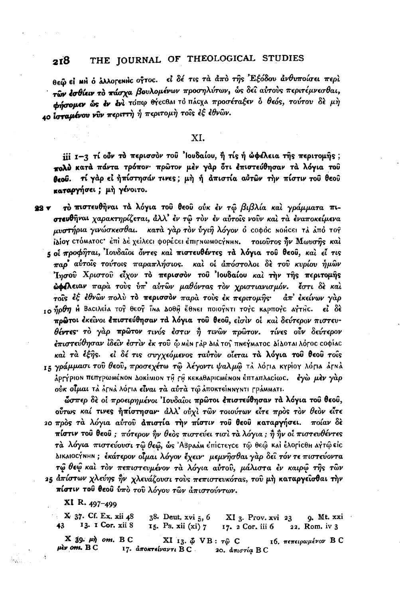θεώ εί m ό λλογενής ογτος. εί δέ τις τα από της Έξόδου ανθυποίσει περί τών έσθίειν το πάσχα βουλομένων προσηλύτων, ώς δεί αύτους περιτέμνεσθαι. **Φήσομεν ώς έν ένι** τόπω θήες θαι το πάςχα προσέταξεν δ θεός, τούτου δε μή 40 ισταμένου νύν περιττή ή περιτομή τους έξ έθνων.

## XI.

iii 1-3 τί ούν το περισσον του 'Ιουδαίου, ή τίς ή ώφελεια της περιτομής; πολύ κατά πάντα τρόπον· πρώτον μέν γάρ ότι έπιστεύθησαν τά λόγια του θεού. τί γάρ εί ήπίστησάν τινες; μή ή άπιστία αύτων την πίστιν του θεου καταργήσει; μη γένοιτο.

τό πιστευθήναι τά λόγια του θεου ούκ έν τω βιβλία και γράμματα πι-22 V στευθήναι χαρακτηρίζεται, άλλ' έν τω τον έν αύτοις νούν και τα έναποκείμενα μυστήρια γινώσκεσθαι. κατά γάρ τον ύγιη λόγον ο τοφός Νοήςει τά άπό τος ίλίον στόΜΑΤΟΣ' έπι Δέ χείλεςι φορέςει έπι η ΜωΝΟΣΥΝΗΝ. τοιούτος ήν Μωνσής και 5 οι προφήται, Ιουδαίοι όντες και πιστευθέντες τα λόγια του θεου, και εί τις παρ' αύτοις τούτοις παραπλήσιος. και οι απόστολοι δε του κυρίου ήμων Ίησου Χριστου είχον το περισσον του 'Ιουδαίου και την της περιτομής **ώφελειαν** παρά τους υπ' αυτών μαθόντας τον χριστιανισμόν. έστι δε και τοίς εξ εθνών πολύ το περισσον παρά τούς εκ περιτομής· άπ' εκείνων γάρ το Πρθη Η Βασιλεία τος θεος ΐΝα ΔΟθΗ έθΝει ποιογΝτι τογς καρπογς αγτής. εί δε πρώτοι έκείνοι έπιστεύθησαν τα λόγια του θεου, είσιν οι και δεύτερον πιστευθέντες το γάρ πρώτον τινός έστιν ή τινών πρώτον. τίνες ούν δεύτερον <del>έπιστεύθησαν ἰδεῖν ἐστὶν ἐκ τοῦ</del> ῷ mèn ϝἀρ διἀ τος πnεγmaτος δίδοται λόγος ςοφίας και τα έξης. εί δέ τις συγχεόμενος ταύτον οίεται τα λόγια του θεου τους 15 γράμμασι του θεου, προσεχέτω τω λέγοντι ψαλμώ τλ λόγια κγρίογ λόγια άγκλ άρτήριου πεπγρωμένου Δοκίμιον τη τη κεκαθαρισμένου έπταπλασίως. εγώ μέν γάρ ούκ οίμαι τα άτηα λότια είναι τα αύτα τω αποκτείηηγητι τράΜΜατι.

ώσπερ δε οί προειρημένοι Ιουδαΐοι πρώτοι επιστεύθησαν τα λόγια του θεου, ούτως καί τινες ήπίστησαν· άλλ' ούχι των τοιούτων είτε προς τον θεον είτε 20 πρός τα λόγια αύτου απιστία την πίστιν του θεου καταργήσει. ποίαν δε πίστιν του θεου; πότερον ήν θεος πιστεύει τισι τα λόγια; ή ήν οι πιστευθέντες τά λόγια πιστεύουσι τώ θεώ, ώς 'ΑΒραάΜεπίστεγςε τώ θεώ και έλορισθη αγτώ είς ΔικαιοςΥΝΗΝ; έκάτερον οίμαι λόγον έχειν· μεμνήσθαι γαρ δεί τόν τε πιστεύοντα τώ θεώ και τον πεπιστευμένον τα λόγια αύτου, μάλιστα εν καιρώ της των 25 απίστων χλεύης ήν χλευάζουσι τους πεπιστευκότας, του μη καταργείσθαι την πίστιν του θεου ύπο του λόγου των απιστούντων.

XI R. 497-499

X 37. Cf. Ex. xii 48  $38.$  Deut.  $xvi$   $5, 6$  $XI_3$ . Prov. xvi 23  $Q.$  Mt. xxi  $\cdot$ 13. 1 Cor. xii 8 43 15. Ps. xii  $(x_i)$  7 17. 2 Cor. iii 6 22. Rom. iv 3  $X$  39.  $\mu \eta$  om. BC XI 13.  $\phi$  VB:  $\tau\hat{\varphi}$  C 16. πεπειρωμένον Β С  $\mu$ *iv om.*  $BC$ 17. αποκτείναντι ΒC. 20. απιστία BC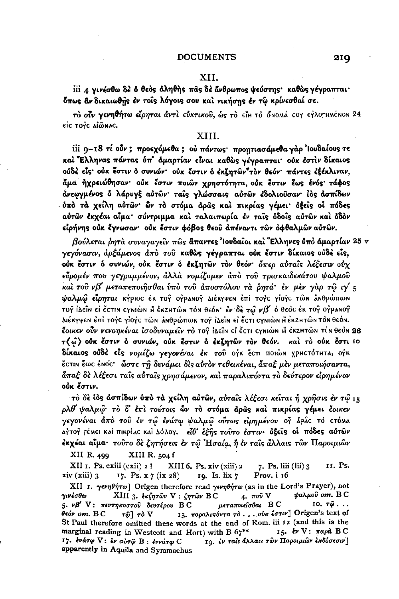### XII.

iii *a γινέσθω* δέ δ θεός άληθής πας δέ άνθρωπος ψεύστης· καθώς γέγραπται· δπως αν δικαιωθής έν τοις λόγοις σου και νικήσης έν τω κρίνεσθαί σε.

τό ούν γενηθήτω είρηται άντι εύκτικού, ώς το είμ το όπομά τον εγλογμμένον 24 eic tovc aiŵnac.

## XIII.

iii 9-18 τί ούν; προεχόμεθα; ού πάντως· προητιασάμεθα γάρ 'louδαίους τε και Έλληνας πάντας ύπ' άμαρτίαν είναι καθώς γέγραπται· ούκ έστιν δίκαιος ούδέ είς ούκ έστιν ό συνιών· ούκ έστιν ό εκζητων"τον θεόν· πάντες εξέκλιναν, άμα ήχρειώθησαν· ούκ έστιν ποιών χρηστότητα, ούκ έστιν έως ένός· τάφος άνεωγμένος δ λάρυγξ αὐτῶν· ταΐς γλώσσαις αὐτῶν έδολιοῦσαν· ἰὸς ἀσπίδων ύπό τα χείλη αύτων ών το στόμα αράς και πικρίας γέμει δέεις οι πόδες αὐτῶν ἐκχέαι αἶμα· σύντριμμα καὶ ταλαιπωρία ἐν ταῖς ὁδοῖς αὐτῶν καὶ ὁδὸν είρήνης ούκ έγνωσαν· ούκ έστιν φόβος θεού απέναντι των όφθαλμων αύτων.

βούλεται όητά συναγαγείν πώς άπαντες 'Ιουδαίοι και Έλληνες ύπο άμαρτίαν 25 ν γεγόνασιν, άρξάμενος άπὸ τοῦ καθὼς γέγραπται οὐκ ἔστιν δίκαιος οὐδὲ εἶς, ούκ έστιν δ συνιών, ούκ έστιν δ εκζητών τον θεόν δπερ αύταις λέξεσιν ούχ εύρομέν που γεγραμμένον, άλλα νομίζομεν άπο του τρισκαιδεκάτου ψαλμού καί του νβ' μεταπεποιήσθαι ύπο του άποστόλου τα ρητά εν μεν γαρ τω ιγ' 5 **ψαλμώ είρηται κ**ήριος έκ τογ ογρανογ Διέκγψεν έπι τογς γιογς τών ανθρώπων τογ ΙΔεΐΝ εΙ έστιΝ σγΝιώΝ Η έκzΗτώΝ τοΝ θεόΝ' εν δε τω ν $\mathcal{B}'$  ο θεος έκ τογ ογραΝογ ΔιέκγψεΝ ἐπὶ τογς γίογς τῶΝ ἀΝθρώπωΝ τογ ἰλεῖΝ εἰ ἔςτι ςγΝιὼΝ Η ἐκΖΗτῶΝ τὸΝ θεόΝ. έοικεν οὖν νενοηκέναι ἰσοδυναμεῖν τὸ τοŷ ἰΔεῖn εἰ ἔcτι cγnιὼn Η ἐκzΗτῶn τἰn θεὸn 28 τ(ω) ούκ έστιν ο συνιών, ούκ έστιν ο εκζητών τον θεόν. και το ούκ έστι ιο δίκαιος ούδε είς νομίζω γεγονέναι έκ του ογκ έςτι ποιών χρηςτότητα, ογκ έςτιη έως έηος· ώστε τη δυνάμει δις αύτον τεθεικέναι, άπαξ μεν μεταποιήσαντα, άπαξ δε λέξεσι ταίς αύταίς χρησάμενον, και παραλιπόντα το δεύτερον ειρημένον ούκ ἔστιν.

το δε ίος ασπίδων ύπο τα χείλη αύτων, αύταις λέξεσι κείται ή χρήσις έν τώ 15 ρλθ ψαλμώ· το δ' έπι τούτοις ών το στόμα άρας και πικρίας γέμει έοικεν γεγονέναι άπὸ τοῦ ἐν τῷ ἐνάτῳ ψαλμῷ οὖτως εἰρημένου ογ̂ ἰρῖς τὸ ςτόma αγτογ τέΜει καί πικρίας και Δόλογ. είθ' έξης τούτο έστιν· όξεις οι πόδες αύτων έκχέαι αίμα· τούτο δε ζητήσεις έν τω Ησαία, ή έν ταίς άλλαις των Παροιμιών

XIII R. 504 f XII R. 499

XII I. Ps. cxiii (cxii) 2 ? 11. Ps. XIII 6. Ps. xiv (xiii) 2 7. Ps. liii (lii) 3  $xiv$  (xiii)  $3$ 17. Ps.  $x \frac{7}{4}$  (ix 28) 19. Is. lix 7 Prov. i 16

XII I. γενηθήτω] Origen therefore read γενηθήτω (as in the Lord's Prayer), not XIII 3. εκζητών V: ζητών BC фалной от. В С γινέσθω  $4.$  πού  $V$ μεταποιείσθαι Β C  $10.7\hat{\omega}$ ... 5. νβ' V: πεντηκοστού δευτέρου ΒC 13. παραλιπόντα το ... ούκ έστιν] Origen's text of  $0$  $6$  $om$ *,*  $B$  $C$  $\tau \hat{\omega}$   $\tau \delta$  V St Paul therefore omitted these words at the end of Rom. iii 12 (and this is the 15. εν V: παρά BC marginal reading in Westcott and Hort) with B 67\*\* 19. εν ταίς άλλαις των Παροιμιών εκδόσεσιν] 17. ενάτφ V: εν αύτω Β: εννάτω C apparently in Aquila and Symmachus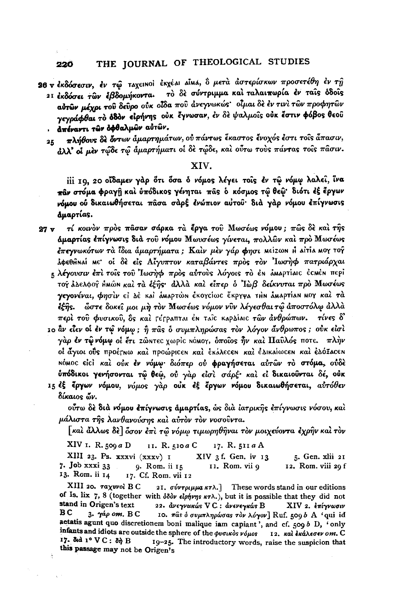- 26 ν έκδόσεσιν, έν τώ ταχεικοί έκχέαι αίμα, ὃ μετά άστερίσκων προσετέθη έν τη το δε σύντριμμα και ταλαιπωρία έν ταις όδοις 21 εκδόσει των εβδομήκοντα. αύτων μέχρι του δεύρο ούκ οίδα που άνεγνωκώς οίμαι δε έν τινι των προφητών γεγράφθαι το όδον είρήνης ούκ έγνωσαν, έν δε ψαλμοΐς ούκ έστιν φόβος θεού · απέναντι των όφθαλμων αυτών.
	- πλήθους δε όντων άμαρτημάτων, ού πάντως έκαστος ένοχός έστι τους άπασιν. 25. άλλ' οι μεν τώδε τώ άμαρτήματι οι δε τώδε, και ούτω τους πάντας τοις πασιν.

## XIV.

iii 19, 20 οΐδαμεν γάρ ότι όσα ο νόμος λέγει τοίς έν τω νόμω λαλεί, ίνα παν στόμα φραγή και ύπόδικος γένηται πας ο κόσμος τω θεώ· διότι έξ έργων νόμου ού δικαιωθήσεται πάσα σάρξ ένώπιον αύτου· διά γάρ νόμου έπίγνωσις δμαρτίας.

- τί κοινόν πρός πάσαν σάρκα τα έργα του Μωσέως νόμου; πώς δε και της  $27<sub>v</sub>$ άμαρτίας επίγνωσις διά του νόμου Μωυσέως γίνεται, πολλών και πρό Μωσέως έπεγνωκότων τα ίδια αμαρτήματα; Καίν μεν γάρ φησι Μείζων Η Δίτια ΜΟΥ τογ λφεθήναί Με οί δε είς Αίγυπτον καταβάντες προς τον Ιωσήφ πατριάρχαι
	- ε λέγουσιν έπι τους του Ιωσήφ πρός αύτους λόγοις το έν αΜαρτίαις ές Μέν περί το λλελφο ή Αμών και τα έξης άλλα και είπερ ο Ιωβ δείκνυται προ Μωσέως γεγονέναι, φησίν εί Δέ και άμαρτών εκογείως έκργψα τΗν αμαρτίαν μογ και τά εξής. ώστε δοκεί μοι μή τον Μωσέως νόμον νυν λέγεσθαι τώ άποστόλω άλλα περί του φυσικού, δς και Γέτραπται έΝ ταΐς καρδίαις των άνθρώπων. τίνες δ'
	- 10 αν είεν οί έν τω νόμω; ή πας ο συμπληρώσας τον λόγον άνθρωπος; ούκ είσι γάρ έν τών όμω οί έτι zώ ντες χωρίς Νόμογ, όποίος ήν και Παύλός ποτε. πλήν οί άγιοι ούς προέγιω και προώρισει και εκάλεσει και ελικαίωσει και ελόξασει ΝόΜΟΣ είςί και ούκ έν νόμω διόπερ ού φραγήσεται αύτων το στόμα, ούδε ύπόδικοι γενήσονται τώ θεώ, ού γάρ είσι σάρξ· και εί δικαιούνται δέ, ούκ
	- 15 εξ έργων νόμου, νόμος γάρ ούκ εξ έργων νόμου δικαιωθήσεται, αυτόθεν δίκαιος ών.

ούτω δε διά νόμου επίγνωσις άμαρτίας, ως δια ίατρικης επίγνωσις νόσου, και μάλιστα της λανθανούσης και αυτον τον νοσούντα.

[καὶ ἄλλως δὲ] ὅσον ἐπὶ τῷ νόμω τιμωρηθῆναι τὸν μοιχεύοντα ἐχρῆν καὶ τὸν

XIV 1. R. 509  $a$  D II. R. 510a C 17. R. 511 a A

XIII 23. Ps. xxxvi (xxxv) I XIV 3 f. Gen. iv 13 5. Gen. xlii 21 7. Job xxxi 33 9. Rom. ii 15 11. Rom. vii 9 12. Rom. viii 29 f 13. Rom. ii 14 17. Cf. Rom. vii 12

XIII 20. Taxwol BC 21.  $\sigma \nu \nu \tau \rho \mu \mu \alpha \kappa \tau \lambda$ . These words stand in our editions of Is. lix 7, 8 (together with  $\delta \delta \delta \nu$  *elphyns*  $\kappa \tau \lambda$ *.)*, but it is possible that they did not stand in Origen's text 22. ανεγνωκώς VC: ανενεγκώς B XIV 2. επίγνωσιν ВC  $3.$   $\gamma$ áp om,  $BC$ 10. πας ο συμπληρώσας τον λόγον] Ruf. 509 b A 'qui id aetatis agunt quo discretionem boni malique iam capiant', and cf. 509 b D, 'only infants and idiots are outside the sphere of the φυσικός νόμος 12. και εκάλεσεν οm. C 17. 8d 1º VC: 8h B 19-25. The introductory words, raise the suspicion that this passage may not be Origen's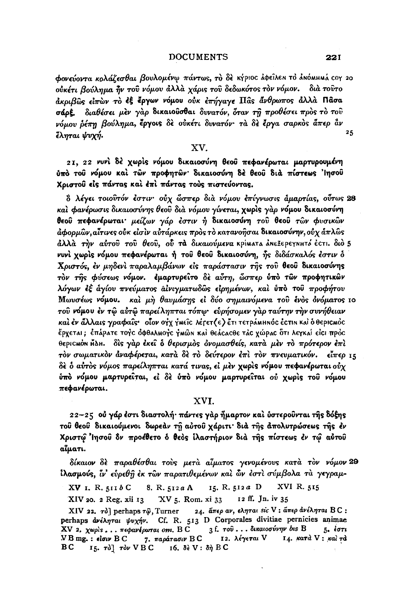φονεύοντα κρλάζεσθαι βουλομένω πάντως, το δε κήριος άφειλεη το απόΜΗΜΑ τον 20 ούκέτι βούλημα ήν του νόμου άλλα χάρις του δεδωκότος τον νόμον. δια τουτο άκριβώς είπών το έξ έργων νόμου ούκ επήνανε Πας άνθρωπος άλλα Πάσα σάρξ. διαθέσει μεν γαρ δικαιούσθαι δυνατόν, όταν τη προθέσει προς το του νόμου ρέπη βούλημα, έργοις δε ούκέτι δυνατόν· τα δε έργα σαρκος άπερ άν  $25^{\circ}$ ἔληται ψυχή.

### XV.

21, 22 νυνί δέ χωρίς νόμου δικαιοσύνη θεού πεφανέρωται μαρτυρουμένη ύπό του νόμου καί των προφητων δικαιοσύνη δέ θεου διά πίστεως 'Ιησου Χριστού είς πάντας και έπι πάντας τους πιστεύοντας.

ὃ λέγει τοιοῦτόν ἐστιν· οὐχ ὧσπερ διὰ νόμου ἐπίγνωσις åμαρτίας, οὖτως 28 και φανέρωσις δικαιοσύνης θεού δια νόμου γίνεται, χωρις γαρ νόμου δικαιοσύνη θεού πεφανέρωται μείζων γάρ έστιν ή δικαιοσύνη του θεού τών φυσικών ἀφορμῶν.αἶτινες οὐκ εἰσὶν αὐτάρκεις πρὸς τὸ κατανοῆσαι δικαιοσύνην, οὐχ ἁπλῶς άλλά τήν αύτοῦ τοῦ θεοῦ, οὗ τὰ δικαιούμενα κρίματα ἀΝεξερεγΝΗτό ἐςτι. διὸ 5 νυνὶ χωρὶς νόμου πεφανέρωται ή τοῦ θεοῦ δικαιοσύνη, ἦς διδάσκαλός ἐστιν δ Χριστός, έν μηδενί παραλαμβάνων είς παράστασιν της του θεού δικαιοσύνης τον της φύσεως νόμον. εμαρτυρείτο δε αύτη, ώσπερ ύπο των προφητικών λόγων εξ άγίου πνεύματος αίνιγματωδώς είρημένων, και ύπο του προφήτου Μωνσέως νόμου. και μη θαυμάσης εί δύο σημαινόμενα του ένος ονόματος 10 του νόμου έν τω αύτω παρείληπται τόπω· εύρήσομεν γαρ ταύτην την συνήθειαν και έν άλλαις γραφαίς· οΐον ογχ γμείς λέτετ (ε) έτι τετράμμη ός έςτιη και ο θεριςμός έρχεται; ἐπάρατε τογς ὀφθαλΜογς γΜῶη καὶ θεάςαςθε τἀς χώρας ὅτι λεγκαί εἰςι πρὸς θεριςωόν ΗΔΗ. δὶς γὰρ ἐκεῖ ὁ θερισμὸς ὀνομασθείς, κατὰ μὲν τὸ πρότερον ἐπὶ τον σωματικον άναφέρεται, κατά δε το δεύτερον έπι τον πνευματικόν. είπερ 15 δε δ αύτος νόμος παρείληπται κατά τινας, εί μεν χωρις νόμου πεφανέρωται ούχ ύπὸ νόμου μαρτυρείται, εἰ δὲ ὑπὸ νόμου μαρτυρείται οὐ χωρὶς τοῦ νόμου πεφανέρωται.

## XVI.

22-25 ού γάρ έστι διαστολή· πάντες γαρ ήμαρτον και ύστερούνται της δόξης του θεου δικαιούμενοι δωρεάν τη αύτου χάριτι διά της απολυτρώσεως της έν Χριστώ Ίησου δν προέθετο δ θεός ίλαστήριον διά της πίστεως έν τω αύτου αίματι.

δίκαιον δε παραθέσθαι τους μετα αίματος γενομένους κατα τον νόμον 29 ίλασμούς, ίν' εύρεθη έκ των παρατιθεμένων και ών έστι σύμβολα τα γεγραμ-

XV I. R. 511b C 8. R. 512a A 15. R. 512a D XVI R. 515 XV 5. Rom. xi 33 12 ff. Jn. iv 35 XIV 20. 2 Reg. xii 13

XIV 22. τδ] perhaps τως. Turner 24. άπερ αν, εληται sic V: άπερ ανέληται BC: perhaps  $\frac{d\mathbf{v}}{dx}$   $\frac{d\mathbf{v}}{dx}$   $\frac{d\mathbf{v}}{dx}$   $\frac{d\mathbf{v}}{dx}$ . Cf. R. 513 D Corporales divitiae pernicies animae 3 f. του... δικαιοσύνην bis B XV 2. χωρίς... πεφανέρωται οm. Β C  $5.6071$ 7. παράτασιν Β C 12. λέγεται V 14. κατά V: και τα **VB** mg. : elour B C 15.  $\tau\delta$ ]  $\tau\delta\nu$  VBC 16.  $\delta\epsilon$  V:  $\delta\eta$  BC BC

**221**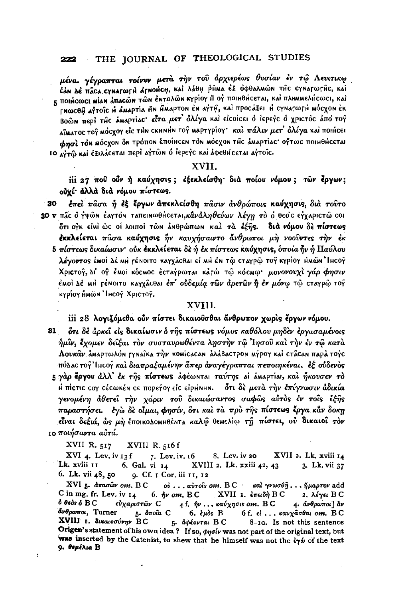μένα, γέγραπται τοίνυν μετά την του άρχιερέως θυσίαν έν τώ Λευιτικω ểản de Hậca cynaroorh đrnonch, kai λάθη phina cz oobalnon The cynaroorhe, kai 5 HOIHCOOCI MIAN AHACON TON ENTOXON KYPIOY H OY HOIHOHCETAI, KAI HAHMMEAHCOOL, KAI ΓΝωςθή Αγτοΐς Η αΜΑΡΤΙΑ ΗΝ ΗΜΑΡΤΟΝ ΕΝ ΑΥΤΗ, και προσάξει Η σγΝατωτΗ ΜόσχοΝ εκ Βοών περί της αΜαρτίας είτα μετ' όλίγα και είςοίςει ό ιερεγς ο χριςτός από τογ αϊματος τογ μόςχογ είς τΗΝ εκμημή τογ μαρτγρίογ· και πάλιν μετ' όλίγα και ποιήςει фησί τον μόςχον ον τρόπον εποίнсен τον μόςχον της δυαρτίας· οντως ποιμθής εται 10 ΔΥΤώ και εξιλάσεται περί αγτών ο ιερεγο και άφεθμοεται αγτοίο.

### XVII.

iii 27 που ούν ή καύχησις; εξεκλείσθη διά ποίου νόμου; τών έργων; ούχί άλλά διά νόμου πίστεως.

30 έπει πάσα ή έξ έργων απεκλείσθη πάσιν ανθρώποις καύχησις, δια τούτο 30 v πάς ο γψών έαγτον ταπεινωθής εται, κάναληθεύων λέγη το ο θεος εγχαριςτώ ςοι ότι ογκ είμι ώς οι λοιποί των ανθρώπων και τα έξης. διά νόμου δε πίστεως έκκλείεται πάσα καύχησις ην καυχήσαιντο άνθρωποι μη νοούντες την έκ 5 πίστεως δικαίωσιν· ούκ εκκλείεται δε ή έκ πίστεως καύχησις, δποία ήν ή Παύλου λέγοντος έμοι Δε μΗ τέΝΟΙΤΟ ΚΑΥΧΑΣΘΑΙ ΕΙ ΜΗ ΕΝ ΤΦ ΣΤΑΥΡΦ ΤΟΥ ΚΥΡΙΟΥ ΗΜΟΝ "ΙΗΣΟΥ Χριστογ, Δι' ογ έμοι κός μος έςταγρωται κάτω τώ κός μον γρονουχί γάρ φησιν έΜΟΙ ΔΕ ΜΗ ΓέΝΟΙΤΟ ΚΑΥΧΑΣΘΑΙ Επ' Ουδεμία των άρετων ή εν μόνω τώ σταγρώ τογ κγρίογ ΑΜώΝ Ήτους Χριστος.

### XVIII.

### iii 28 λογιζόμεθα ούν πίστει δικαιούσθαι άνθρωπον χωρίς έργων νόμου.

 $31$ ότι δε άρκει είς δικαίωσιν ό της πίστεως νόμος καθόλου μηδεν εργασαμένοις ήμιν, έχομεν δείξαι τον συσταυρωθέντα ληστήν τω Ίησου και την έν τω κατά Λουκάν άΜαρτωλόν γγναΐκα την κοΜίταταν αλάβαττρον μήρογ και ττάταν παρά τογο πόλας τογ' Ιμεογ και διαπραξαμένην άπερ άναγέγραπται πεποιηκέναι. εξ ούδενος

5 γάρ έργου άλλ' έκ της πίστεως λφέωΝται ταύτης αί αΜαρτίαι, και ήκουσεν το Η πίστις τον σέσωκέν σε πορεγογείς είρμημη. δτι δε μετά την επίγνωσιν άδικία γενομένη άθετεί την χάριν του δικαιώσαντος σαφώς αύτος έν τοίς έξης παραστήσει. έγω δε οίμαι, φησίν, ότι και τα πρό της πίστεως έργα κάν δοκη είναι δεξιά, ώς μή έποικολοΜΗθέΝΤΑ καλώ θεΜελίω τη πίστει, ού δικαιοί τον ιο ποιήσαντα αύτά.

XVII R. 517 XVIII R. 516f

A,

 $XVI$  4. Lev. iv  $13f$ 7. Lev. iv. 16 8. Lev. iv 20 XVII 2. Lk. xviii 14 Lk. xviii 11 6. Gal. vi  $14$ XVIII 2. Lk. xxiii 42, 43 3. Lk. vii 37 6. Lk. vii 48, 50 9. Cf. I Cor. iii 11, 12

XVI 5. άπασων οm. ΒC ού ... αυτοίς οm. BC και γνωσθή... ήμαρτον add C in mg. fr. Lev. iv  $I_4$ 6. ήν οm. B.C XVII 1. έπειδή B.C 2. λέγει B C  $\delta$  θεδς  $\delta$   $\rm BC$ εύχαριστών C 4 f.  $ην$ ... καύχησις om. BC 4. άνθρωποι] αν άνθρωποι, Turner 5. δποία C 6.  $\epsilon \mu \delta s$  B 6 f. εί... καυχάσθαι οm. BC XVIII I. δικαιοσύνην BC 5. apéovrai B C 8-10. Is not this sentence Origen's statement of his own idea? If so,  $\varphi\eta\sigma\iota\nu$  was not part of the original text, but was inserted by the Catenist, to shew that he himself was not the tyw of the text 9. θεμέλια Β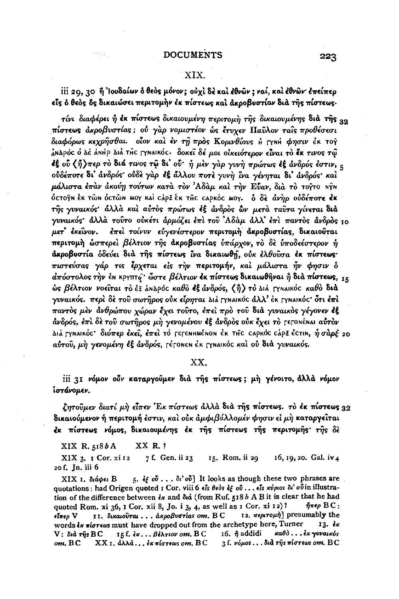## XIX.

iii 20, 30 ή 'Ιουδαίων δ θεδς μόνον; οὐχὶ δὲ καὶ ἐθνῶν; ναί, καὶ ἐθνῶν· ἐπείπερ είς ό θεός δς δικαιώσει περιτομήν έκ πίστεως και ακροβυστίαν δια της πίστεως.

τίνι διαφέρει ή έκ πίστεως δικαιουμένη περιτομή της δικαιουμένης διά της 32 πίστεως άκροβυστίας; ού γαρ νομιστέον ως έτυχεν Παύλον ταίς προθέσεσι διαφόρως κεχρήσθαι. οΐον και έν τη προς Κορινθίους η Γχηή φησιν έκ τογ άΝΔρός ο Δέ αΝΗρ Διά της Γγηαικός. δοκεί δέ μοι οικειότερον είναι το έκ τινος τώ εξ ού (ή)περ το διά τινος τω δι' ού· ή μεν γαρ γυνή πρώτως εξ ανδρός εστιν, ε ούδέποτε δι' άνδρός ούδε γαρ έξ άλλου ποτε γυνή ίνα γένηται δι' άνδρός και μάλιστα έπαν άκούη τούτων κατά τον Αδάμ και την Εύαν, διά το τούτο ΝΥΝ ỏcτοÿn ἐκ τῶn ὀcτῶn moγ κai càpΞ ἐκ τĤc capκόc moγ. ὁ δὲ *ἀνὴρ οὐδέπο*τε ἐκ της γυναικός· άλλα και αύτος πρώτως εξ άνδρος ων μετα ταυτα γίνεται δια γυναικός άλλα τούτο ούκέτι άρμόζει έπι του Αδαμ άλλ έπι παντος άνδρος 10 μετ' έκείνον. έπει τοίνυν είγενέστερον περιτομή ακροβυστίας, δικαιούται περιτομή ώσπερεί βέλτιον της άκροβυστίας υπάρχον, το δε υποδεέστερον ή άκροβυστία όδεύει διά της πίστεως ίνα δικαιωθη, ούκ έλθουσα έκ πίστεως· πιστεύσας γάρ τις έρχεται είς την περιτομήν, και μάλιστα ήν φησιν δ  $d\pi$ όστολος την έΝ κργπτο· ώστε βέλτιον έκ πίστεως δικαιωθήναι ή διά πίστεως, 15 ώς βέλτιον νοείται το έξ άΝΔρος καθο εξ άνδρός, (ή) το Διά ΓγΝαικός καθο διά γυναικός. περί δε του σωτήρος ούκ είρηται Διά Γγηαικός άλλ' έκ Γγηαικός· ότι έπι παντὸς μὲν ἀνθρώπου χώραν ἔχει τοῦτο, ἐπεὶ πρὸ τοῦ διὰ γυναικὸς γέγονεν ἐξ άνδρός, έπι δε του σωτήρος μη γενομένου εξ άνδρος ούκ έχει το γεγονέναι αυτον Διά Γγηαικός· διόπερ έκει, έπει το Γερεημμέρου έκ της σαρκός σάρξ έςτιη, ήσαρέ 20 αύτου, μη γενομένη έξ άνδρός, ΓέτοΝεΝ έκ ΓχΝΑΙκός και ού διά γυναικός.

### XX.

iii 31 νόμον ούν καταργούμεν διά της πίστεως; μη γένοιτο, άλλά νόμον ίστάνομεν.

ζητούμεν διατί μή είπεν 'Εκ πίστεως άλλα δια της πίστεως. το έκ πίστεως 32 δικαιούμενον ή περιτομή έστιν, και ούκ άμφιβάλλομέν φησιν εί μη καταργείται έκ πίστεως νόμος, δικαιουμένης έκ της πίστεως της περιτομής της δε

XX R. ? XIX R. 5186A

Skaal.

XIX 3. I Cor. xi 12 7 f. Gen. ii 23 15. Rom. ii 29 16, 19, 20. Gal. iv 4 20 f. Jn. iii 6

5. if  $\delta$   $\delta$  . . .  $\delta$   $\delta$   $\delta$   $\delta$  It looks as though these two phrases are ΧΙΧ 1, διάφει Β quotations : had Origen quoted I Cor. viii 6 els deds et ou ... els kupios di'ovin illustration of the difference between  $\epsilon_{\kappa}$  and  $\delta_{\kappa}$  (from Ruf. 518 b A B it is clear that he had quoted Rom. xi 36, 1 Cor. xii 8, Jo. i 3, 4, as well as  $I$  Cor. xi  $I$ 2)?  $n \pi \epsilon \rho \, B C$ : 12. *περιτομή*] presumably the 11. δικαιούται... άκροβυστίαs om. BC είπεο V words  $k\kappa$  πίστεως must have dropped out from the archetype here, Turner 13. čk καθ $\delta$  . . . εκ γυναικός V: διά της BC 15 f. εκ... βέλτιον οm.  $B C$ 16.  $\hat{\eta}$  addidi om. BC  $XX$ 1. ἀλλά... ἐκ πίστεως οm.  $\operatorname{BC}$  $3$  f.  $\nu$ όμος... διά της πίστεως οπ. BC